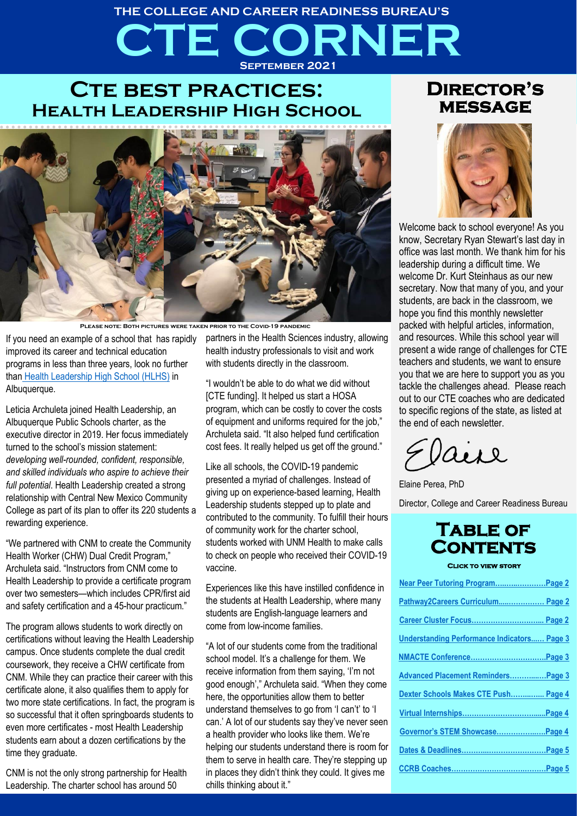# **CTE CORNER THE COLLEGE AND CAREER READINESS BUREAU'S September 2021**

# **CTE BEST PRACTICES: Health Leadership High School**



**Please note: Both pictures were taken prior to the Covid-19 pandemic**

If you need an example of a school that has rapidly improved its career and technical education programs in less than three years, look no further than [Health Leadership High School \(HLHS\)](https://healthleadershiphighschool.org/) in Albuquerque.

Leticia Archuleta joined Health Leadership, an Albuquerque Public Schools charter, as the executive director in 2019. Her focus immediately turned to the school's mission statement: *developing well-rounded, confident, responsible, and skilled individuals who aspire to achieve their full potential*. Health Leadership created a strong relationship with Central New Mexico Community College as part of its plan to offer its 220 students a rewarding experience.

"We partnered with CNM to create the Community Health Worker (CHW) Dual Credit Program," Archuleta said. "Instructors from CNM come to Health Leadership to provide a certificate program over two semesters—which includes CPR/first aid and safety certification and a 45-hour practicum."

The program allows students to work directly on certifications without leaving the Health Leadership campus. Once students complete the dual credit coursework, they receive a CHW certificate from CNM. While they can practice their career with this certificate alone, it also qualifies them to apply for two more state certifications. In fact, the program is so successful that it often springboards students to even more certificates - most Health Leadership students earn about a dozen certifications by the time they graduate.

CNM is not the only strong partnership for Health Leadership. The charter school has around 50

partners in the Health Sciences industry, allowing health industry professionals to visit and work with students directly in the classroom.

"I wouldn't be able to do what we did without [CTE funding]. It helped us start a HOSA program, which can be costly to cover the costs of equipment and uniforms required for the job," Archuleta said. "It also helped fund certification cost fees. It really helped us get off the ground."

Like all schools, the COVID-19 pandemic presented a myriad of challenges. Instead of giving up on experience-based learning, Health Leadership students stepped up to plate and contributed to the community. To fulfill their hours of community work for the charter school, students worked with UNM Health to make calls to check on people who received their COVID-19 vaccine.

Experiences like this have instilled confidence in the students at Health Leadership, where many students are English-language learners and come from low-income families.

"A lot of our students come from the traditional school model. It's a challenge for them. We receive information from them saying, 'I'm not good enough'," Archuleta said. "When they come here, the opportunities allow them to better understand themselves to go from 'I can't' to 'I can.' A lot of our students say they've never seen a health provider who looks like them. We're helping our students understand there is room for them to serve in health care. They're stepping up in places they didn't think they could. It gives me chills thinking about it."

### **Director's message**



Welcome back to school everyone! As you know, Secretary Ryan Stewart's last day in office was last month. We thank him for his leadership during a difficult time. We welcome Dr. Kurt Steinhaus as our new secretary. Now that many of you, and your students, are back in the classroom, we hope you find this monthly newsletter packed with helpful articles, information, and resources. While this school year will present a wide range of challenges for CTE teachers and students, we want to ensure you that we are here to support you as you tackle the challenges ahead. Please reach out to our CTE coaches who are dedicated to specific regions of the state, as listed at the end of each newsletter.

aire

Elaine Perea, PhD

Director, College and Career Readiness Bureau



**Click to view story** 

| Near Peer Tutoring ProgramPage 2                   |  |
|----------------------------------------------------|--|
| Pathway2Careers Curriculum Page 2                  |  |
| Career Cluster Focus Page 2                        |  |
| <b>Understanding Performance Indicators Page 3</b> |  |
|                                                    |  |
| Advanced Placement Reminders Page 3                |  |
| Dexter Schools Makes CTE Push Page 4               |  |
|                                                    |  |
| Governor's STEM ShowcasePage 4                     |  |
|                                                    |  |
|                                                    |  |
|                                                    |  |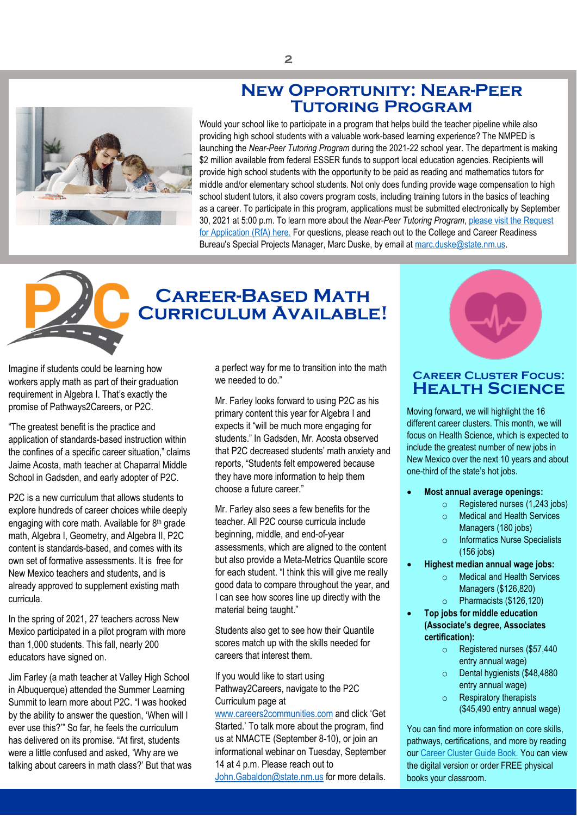### **New Opportunity: Near-Peer Tutoring Program**



<span id="page-1-0"></span>Would your school like to participate in a program that helps build the teacher pipeline while also providing high school students with a valuable work-based learning experience? The NMPED is launching the *Near-Peer Tutoring Program* during the 2021-22 school year. The department is making \$2 million available from federal ESSER funds to support local education agencies. Recipients will provide high school students with the opportunity to be paid as reading and mathematics tutors for middle and/or elementary school students. Not only does funding provide wage compensation to high school student tutors, it also covers program costs, including training tutors in the basics of teaching as a career. To participate in this program, applications must be submitted electronically by September 30, 2021 at 5:00 p.m. To learn more about the *Near-Peer Tutoring Program*, [please visit the Request](https://webnew.ped.state.nm.us/wp-content/uploads/2021/08/RfA-Near-Peer-Tutoring-FINAL-2.pdf)  [for Application \(RfA\)](https://webnew.ped.state.nm.us/wp-content/uploads/2021/08/RfA-Near-Peer-Tutoring-FINAL-2.pdf) here. For questions, please reach out to the College and Career Readiness Bureau's Special Projects Manager, Marc Duske, by email a[t marc.duske@state.nm.us.](mailto:marc.duske@state.nm.us)



# <span id="page-1-1"></span>**Career-Based Math Curriculum Available!**

Imagine if students could be learning how workers apply math as part of their graduation requirement in Algebra I. That's exactly the promise of Pathways2Careers, or P2C.

"The greatest benefit is the practice and application of standards-based instruction within the confines of a specific career situation," claims Jaime Acosta, math teacher at Chaparral Middle School in Gadsden, and early adopter of P2C.

P2C is a new curriculum that allows students to explore hundreds of career choices while deeply engaging with core math. Available for 8<sup>th</sup> grade math, Algebra I, Geometry, and Algebra II, P2C content is standards-based, and comes with its own set of formative assessments. It is free for New Mexico teachers and students, and is already approved to supplement existing math curricula.

In the spring of 2021, 27 teachers across New Mexico participated in a pilot program with more than 1,000 students. This fall, nearly 200 educators have signed on.

Jim Farley (a math teacher at Valley High School in Albuquerque) attended the Summer Learning Summit to learn more about P2C. "I was hooked by the ability to answer the question, 'When will I ever use this?'" So far, he feels the curriculum has delivered on its promise. "At first, students were a little confused and asked, 'Why are we talking about careers in math class?' But that was a perfect way for me to transition into the math we needed to do."

Mr. Farley looks forward to using P2C as his primary content this year for Algebra I and expects it "will be much more engaging for students." In Gadsden, Mr. Acosta observed that P2C decreased students' math anxiety and reports, "Students felt empowered because they have more information to help them choose a future career."

Mr. Farley also sees a few benefits for the teacher. All P2C course curricula include beginning, middle, and end-of-year assessments, which are aligned to the content but also provide a Meta-Metrics Quantile score for each student. "I think this will give me really good data to compare throughout the year, and I can see how scores line up directly with the material being taught."

Students also get to see how their Quantile scores match up with the skills needed for careers that interest them.

If you would like to start using Pathway2Careers, navigate to the P2C Curriculum page at

[www.careers2communities.com](http://www.careers2communities.com/) and click 'Get Started.' To talk more about the program, find us at NMACTE (September 8-10), or join an informational webinar on Tuesday, September 14 at 4 p.m. Please reach out to

[John.Gabaldon@state.nm.us](mailto:John.Gabaldon@state.nm.us) for more details.



### <span id="page-1-2"></span>**Career Cluster Focus: Health Science**

Moving forward, we will highlight the 16 different career clusters. This month, we will focus on Health Science, which is expected to include the greatest number of new jobs in New Mexico over the next 10 years and about one-third of the state's hot jobs.

- **Most annual average openings:** 
	- o Registered nurses (1,243 jobs)
		- o Medical and Health Services Managers (180 jobs)
		- o Informatics Nurse Specialists (156 jobs)
- **Highest median annual wage jobs:** 
	- o Medical and Health Services Managers (\$126,820) o Pharmacists (\$126,120)
	-
- **Top jobs for middle education (Associate's degree, Associates certification):**
	- o Registered nurses (\$57,440 entry annual wage)
	- o Dental hygienists (\$48,4880 entry annual wage)
	- o Respiratory therapists (\$45,490 entry annual wage)

You can find more information on core skills, pathways, certifications, and more by reading our [Career Cluster Guide Book.](https://webnew.ped.state.nm.us/bureaus/college-career-readiness/counselors-and-advisors/career-clusters/) You can view the digital version or order FREE physical books your classroom.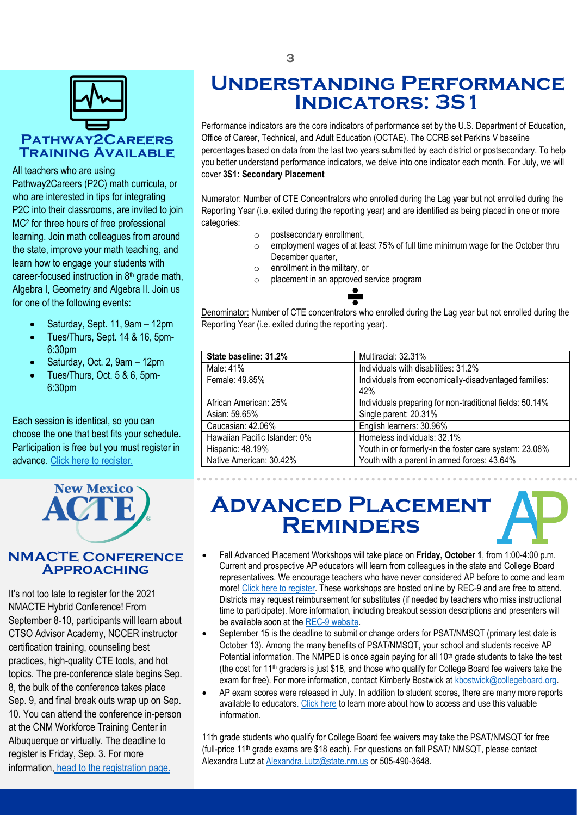

# $\frac{1}{2}$  and  $\frac{1}{2}$  is the contract of  $\frac{1}{2}$  and  $\frac{1}{2}$  and  $\frac{1}{2}$  you better unk and the cover 351. S

Pathway2Careers (P2C) math curricula, or who are interested in tips for integrating P2C into their classrooms, are invited to join MC<sup>2</sup> for three hours of free professional learning. Join math colleagues from around the state, improve your math teaching, and learn how to engage your students with career-focused instruction in 8<sup>th</sup> grade math, Algebra I, Geometry and Algebra II. Join us for one of the following events:

- Saturday, Sept. 11, 9am 12pm
- Tues/Thurs, Sept. 14 & 16, 5pm-6:30pm
- Saturday, Oct. 2, 9am 12pm
- Tues/Thurs, Oct. 5 & 6, 5pm-6:30pm

Each session is identical, so you can choose the one that best fits your schedule. Participation is free but you must register in advance. [Click here to register.](https://www.careers2communities.com/news-events/events/)



### <span id="page-2-0"></span>**NMACTE Conference Approaching**

It's not too late to register for the 2021 NMACTE Hybrid Conference! From September 8-10, participants will learn about CTSO Advisor Academy, NCCER instructor certification training, counseling best practices, high-quality CTE tools, and hot topics. The pre-conference slate begins Sep. 8, the bulk of the conference takes place Sep. 9, and final break outs wrap up on Sep. 10. You can attend the conference in-person at the CNM Workforce Training Center in Albuquerque or virtually. The deadline to register is Friday, Sep. 3. For more information, [head to the registration page.](thinkregistration.com/ACTE/NM/)

# **Understanding Performance Indicators: 3S1**

Performance indicators are the core indicators of performance set by the U.S. Department of Education, Office of Career, Technical, and Adult Education (OCTAE). The CCRB set Perkins V baseline percentages based on data from the last two years submitted by each district or postsecondary. To help you better understand performance indicators, we delve into one indicator each month. For July, we will cover **3S1: Secondary Placement**

Numerator: Number of CTE Concentrators who enrolled during the Lag year but not enrolled during the Reporting Year (i.e. exited during the reporting year) and are identified as being placed in one or more categories:

- o postsecondary enrollment,
- o employment wages of at least 75% of full time minimum wage for the October thru December quarter,
- o enrollment in the military, or
- o placement in an approved service program

Denominator: Number of CTE concentrators who enrolled during the Lag year but not enrolled during the Reporting Year (i.e. exited during the reporting year).

| State baseline: 31.2%         | Multiracial: 32.31%                                      |
|-------------------------------|----------------------------------------------------------|
| Male: 41%                     | Individuals with disabilities: 31.2%                     |
| Female: 49.85%                | Individuals from economically-disadvantaged families:    |
|                               | 42%                                                      |
| African American: 25%         | Individuals preparing for non-traditional fields: 50.14% |
| Asian: 59.65%                 | Single parent: 20.31%                                    |
| Caucasian: 42.06%             | English learners: 30.96%                                 |
| Hawaiian Pacific Islander: 0% | Homeless individuals: 32.1%                              |
| Hispanic: 48.19%              | Youth in or formerly-in the foster care system: 23.08%   |
| Native American: 30.42%       | Youth with a parent in armed forces: 43.64%              |

# <span id="page-2-1"></span>**Advanced Placement Reminders**

- 
- Fall Advanced Placement Workshops will take place on **Friday, October 1**, from 1:00-4:00 p.m. Current and prospective AP educators will learn from colleagues in the state and College Board representatives. We encourage teachers who have never considered AP before to come and learn more[! Click here to register.](https://docs.google.com/forms/d/e/1FAIpQLSeB3H-YiiTN4yia53kcZlqpqDcTkq8t6iuSiES6UxNoroZsVg/viewform) These workshops are hosted online by REC-9 and are free to attend. Districts may request reimbursement for substitutes (if needed by teachers who miss instructional time to participate). More information, including breakout session descriptions and presenters will be available soon at th[e REC-9 website.](https://sites.google.com/regionix.org/ap-fall-2021/home)
- September 15 is the deadline to submit or change orders for PSAT/NMSQT (primary test date is October 13). Among the many benefits of PSAT/NMSQT, your school and students receive AP Potential information. The NMPED is once again paying for all 10<sup>th</sup> grade students to take the test (the cost for 11th graders is just \$18, and those who qualify for College Board fee waivers take the exam for free). For more information, contact Kimberly Bostwick at kbostwick@collegeboard.org.
- AP exam scores were released in July. In addition to student scores, there are many more reports available to educators. [Click here](https://apcentral.collegeboard.org/exam-administration-ordering-scores/scores) to learn more about how to access and use this valuable information.

11th grade students who qualify for College Board fee waivers may take the PSAT/NMSQT for free (full-price 11th grade exams are \$18 each). For questions on fall PSAT/ NMSQT, please contact Alexandra Lutz a[t Alexandra.Lutz@state.nm.us](mailto:Alexandra.Lutz@state.nm.us) or 505-490-3648.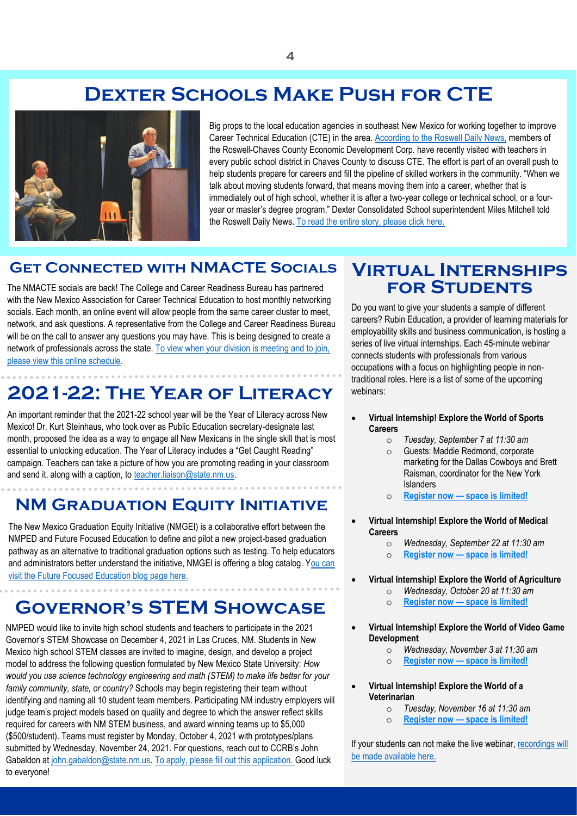# **Dexter Schools Make Push for CTE**

<span id="page-3-0"></span>

Big props to the local education agencies in southeast New Mexico for working together to improve Career Technical Education (CTE) in the area. [According to the Roswell Daily News,](https://www.rdrnews.com/2021/08/11/dexter-school-start-includes-push-for-technical-education/) members of the Roswell-Chaves County Economic Development Corp. have recently visited with teachers in every public school district in Chaves County to discuss CTE. The effort is part of an overall push to help students prepare for careers and fill the pipeline of skilled workers in the community. "When we talk about moving students forward, that means moving them into a career, whether that is immediately out of high school, whether it is after a two-year college or technical school, or a fouryear or master's degree program," Dexter Consolidated School superintendent Miles Mitchell told the Roswell Daily News. To read the [entire story, please click here.](https://www.rdrnews.com/2021/04/06/dexter-panel-interviews-superintendent-candidates/)

### **GET CONNECTED WITH NMACTE SOCIALS**

The NMACTE socials are back! The College and Career Readiness Bureau has partnered with the New Mexico Association for Career Technical Education to host monthly networking socials. Each month, an online event will allow people from the same career cluster to meet, network, and ask questions. A representative from the College and Career Readiness Bureau will be on the call to answer any questions you may have. This is being designed to create a network of professionals across the state[. To view when your division is meeting and to join,](https://connect.ped.state.nm.us/Public/SitePages/Home.aspx)  [please view this online schedule.](https://connect.ped.state.nm.us/Public/SitePages/Home.aspx)

## **2021-22: The Year of Literacy**

An important reminder that the 2021-22 school year will be the Year of Literacy across New Mexico! Dr. Kurt Steinhaus, who took over as Public Education secretary-designate last month, proposed the idea as a way to engage all New Mexicans in the single skill that is most essential to unlocking education. The Year of Literacy includes a "Get Caught Reading" campaign. Teachers can take a picture of how you are promoting reading in your classroom and send it, along with a caption, to [teacher.liaison@state.nm.us.](mailto:teacher.liaison@state.nm.us)

## **NM GRADUATION EQUITY INITIATIVE**

The New Mexico Graduation Equity Initiative (NMGEI) is a collaborative effort between the NMPED and Future Focused Education to define and pilot a new project-based graduation pathway as an alternative to traditional graduation options such as testing. To help educators and administrators better understand the initiative, NMGEI is offering a blog catalog. [You can](https://futurefocusededucation.org/blog/)  [visit the Future Focused Education blog page here.](https://futurefocusededucation.org/blog/)

# <span id="page-3-2"></span>**Governor's STEM Showcase**

NMPED would like to invite high school students and teachers to participate in the 2021 Governor's STEM Showcase on December 4, 2021 in Las Cruces, NM. Students in New Mexico high school STEM classes are invited to imagine, design, and develop a project model to address the following question formulated by New Mexico State University: *How would you use science technology engineering and math (STEM) to make life better for your family community, state, or country?* Schools may begin registering their team without identifying and naming all 10 student team members. Participating NM industry employers will judge team's project models based on quality and degree to which the answer reflect skills required for careers with NM STEM business, and award winning teams up to \$5,000 (\$500/student). Teams must register by Monday, October 4, 2021 with prototypes/plans submitted by Wednesday, November 24, 2021. For questions, reach out to CCRB's John Gabaldon at [john.gabaldon@state.nm.us.](mailto:john.gabaldon@state.nm.us) [To apply, please fill out this application. G](https://www.surveymonkey.com/r/K52SDRS)ood luck to everyone!

### <span id="page-3-1"></span>**Virtual Internships for Students**

Do you want to give your students a sample of different careers? Rubin Education, a provider of learning materials for employability skills and business communication, is hosting a series of live virtual internships. Each 45-minute webinar connects students with professionals from various occupations with a focus on highlighting people in nontraditional roles. Here is a list of some of the upcoming webinars:

- **Virtual Internship! Explore the World of Sports Careers**
	- o *Tuesday, September 7 at 11:30 am*
	- o Guests: Maddie Redmond, corporate marketing for the Dallas Cowboys and Brett Raisman, coordinator for the New York Islanders
	- o **Register now — [space is limited!](https://gcc02.safelinks.protection.outlook.com/?url=https%3A%2F%2Fclick.convertkit-mail.com%2F75uxlvp64eb8hr0xwzbz%2Fl2hehmho352z2qa6%2FaHR0cHM6Ly91czA2d2ViLnpvb20udXMvd2ViaW5hci9yZWdpc3Rlci9XTl9GVlJoZHV3aFFqdWZYNlhRVXFfMFlR&data=04%7C01%7Crick.schmidt%40state.nm.us%7C8a1a745faf78427fe97f08d960c8e1ac%7C04aa6bf4d436426fbfa404b7a70e60ff%7C0%7C0%7C637647238164093388%7CUnknown%7CTWFpbGZsb3d8eyJWIjoiMC4wLjAwMDAiLCJQIjoiV2luMzIiLCJBTiI6Ik1haWwiLCJXVCI6Mn0%3D%7C1000&sdata=SKDy6Ydii6TqR43IYScRCBc8Nv0776AF4u5ZmF1YzXs%3D&reserved=0)**
- **Virtual Internship! Explore the World of Medical Careers**
	- o *Wednesday, September 22 at 11:30 am*
	- o **[Register now](https://gcc02.safelinks.protection.outlook.com/?url=https%3A%2F%2Fclick.convertkit-mail.com%2F75uxlvp64eb8hr0xwzbz%2Fm2h7h5ho8k575vbm%2FaHR0cHM6Ly91czA2d2ViLnpvb20udXMvd2ViaW5hci9yZWdpc3Rlci9XTl96eXdMdnBuUVNYaS1tV3pIVHFMcXl3&data=04%7C01%7Crick.schmidt%40state.nm.us%7C8a1a745faf78427fe97f08d960c8e1ac%7C04aa6bf4d436426fbfa404b7a70e60ff%7C0%7C0%7C637647238164093388%7CUnknown%7CTWFpbGZsb3d8eyJWIjoiMC4wLjAwMDAiLCJQIjoiV2luMzIiLCJBTiI6Ik1haWwiLCJXVCI6Mn0%3D%7C1000&sdata=SpCMLacFe08U1DASAP5YkHi0Wfq6MMubcjGyzCRkG1s%3D&reserved=0) — space is limited!**
	- **Virtual Internship! Explore the World of Agriculture**
		- o *Wednesday, October 20 at 11:30 am*
			- o **Register now — [space is limited!](https://gcc02.safelinks.protection.outlook.com/?url=https%3A%2F%2Fclick.convertkit-mail.com%2F75uxlvp64eb8hr0xwzbz%2Fe0hph7hk09v2vou8%2FaHR0cHM6Ly91czA2d2ViLnpvb20udXMvd2ViaW5hci9yZWdpc3Rlci9XTl9CSnlZNFdKMlRRR3U0aHhMSk9YWWNR&data=04%7C01%7Crick.schmidt%40state.nm.us%7C8a1a745faf78427fe97f08d960c8e1ac%7C04aa6bf4d436426fbfa404b7a70e60ff%7C0%7C0%7C637647238164103349%7CUnknown%7CTWFpbGZsb3d8eyJWIjoiMC4wLjAwMDAiLCJQIjoiV2luMzIiLCJBTiI6Ik1haWwiLCJXVCI6Mn0%3D%7C1000&sdata=5UuzBm9giTQ1YhCcg%2Brrw92OBlNCpYhrxDDlXu6xvaU%3D&reserved=0)**
- **Virtual Internship! Explore the World of Video Game Development**
	- o *Wednesday, November 3 at 11:30 am*
	- o **Register now — [space is limited!](https://gcc02.safelinks.protection.outlook.com/?url=https%3A%2F%2Fclick.convertkit-mail.com%2F75uxlvp64eb8hr0xwzbz%2Fowhkhqh4r3979mfv%2FaHR0cHM6Ly91czA2d2ViLnpvb20udXMvd2ViaW5hci9yZWdpc3Rlci9XTl9udUFDclJLMlI2aXBCelI5YURNaGRn&data=04%7C01%7Crick.schmidt%40state.nm.us%7C8a1a745faf78427fe97f08d960c8e1ac%7C04aa6bf4d436426fbfa404b7a70e60ff%7C0%7C0%7C637647238164113302%7CUnknown%7CTWFpbGZsb3d8eyJWIjoiMC4wLjAwMDAiLCJQIjoiV2luMzIiLCJBTiI6Ik1haWwiLCJXVCI6Mn0%3D%7C1000&sdata=zDKFtENuYWs%2BcpDTEeaWukp0GZTi2%2BTSbJoWIixQonQ%3D&reserved=0)**
- **Virtual Internship! Explore the World of a Veterinarian**
	- o *Tuesday, November 16 at 11:30 am*
	- o **Register now — [space is limited!](https://gcc02.safelinks.protection.outlook.com/?url=https%3A%2F%2Fclick.convertkit-mail.com%2F75uxlvp64eb8hr0xwzbz%2Fe0hph7hk09v2vxb8%2FaHR0cHM6Ly91czA2d2ViLnpvb20udXMvd2ViaW5hci9yZWdpc3Rlci9XTl91ZHV4SDhkblJWV3RMeTk5V3E4RzF3&data=04%7C01%7Crick.schmidt%40state.nm.us%7C8a1a745faf78427fe97f08d960c8e1ac%7C04aa6bf4d436426fbfa404b7a70e60ff%7C0%7C0%7C637647238164113302%7CUnknown%7CTWFpbGZsb3d8eyJWIjoiMC4wLjAwMDAiLCJQIjoiV2luMzIiLCJBTiI6Ik1haWwiLCJXVCI6Mn0%3D%7C1000&sdata=UiP40g44osCZyHkDPU%2BGpcAIXGurEuCb0QDlKLrQV%2Bo%3D&reserved=0)**

If your students can not make the live webinar, recordings will [be made available here.](https://www.youtube.com/watch?v=aXjJ68GWBIM&list=PLpwgl0RbUTtLUOam9Hs_TsAUkcrer3-YH)